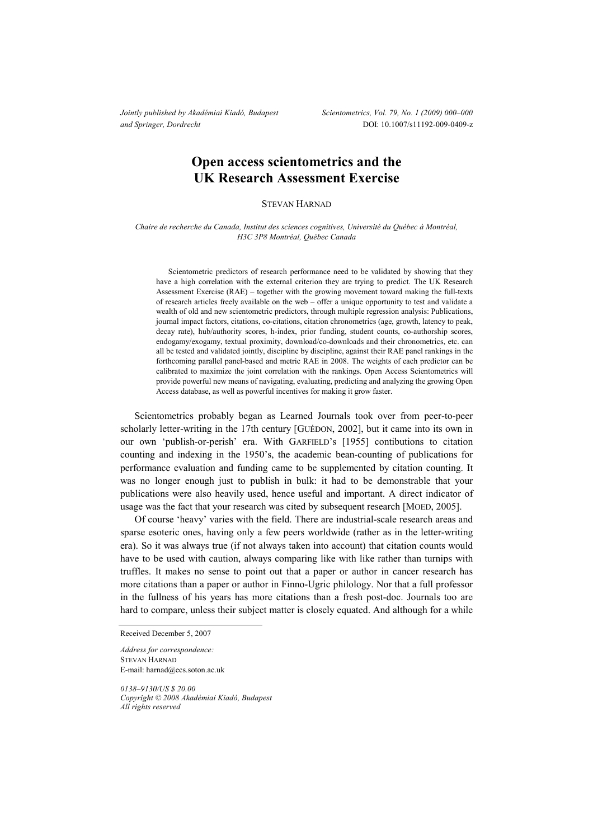*and Springer, Dordrecht* DOI: 10.1007/s11192-009-0409-z

*Jointly published by Akadémiai Kiadó, Budapest Scientometrics, Vol. 79, No. 1 (2009) 000–000* 

## **Open access scientometrics and the UK Research Assessment Exercise**

## STEVAN HARNAD

*Chaire de recherche du Canada, Institut des sciences cognitives, Université du Québec à Montréal, H3C 3P8 Montréal, Québec Canada* 

Scientometric predictors of research performance need to be validated by showing that they have a high correlation with the external criterion they are trying to predict. The UK Research Assessment Exercise (RAE) – together with the growing movement toward making the full-texts of research articles freely available on the web – offer a unique opportunity to test and validate a wealth of old and new scientometric predictors, through multiple regression analysis: Publications, journal impact factors, citations, co-citations, citation chronometrics (age, growth, latency to peak, decay rate), hub/authority scores, h-index, prior funding, student counts, co-authorship scores, endogamy/exogamy, textual proximity, download/co-downloads and their chronometrics, etc. can all be tested and validated jointly, discipline by discipline, against their RAE panel rankings in the forthcoming parallel panel-based and metric RAE in 2008. The weights of each predictor can be calibrated to maximize the joint correlation with the rankings. Open Access Scientometrics will provide powerful new means of navigating, evaluating, predicting and analyzing the growing Open Access database, as well as powerful incentives for making it grow faster.

Scientometrics probably began as Learned Journals took over from peer-to-peer scholarly letter-writing in the 17th century [GUÉDON, 2002], but it came into its own in our own 'publish-or-perish' era. With GARFIELD's [1955] contibutions to citation counting and indexing in the 1950's, the academic bean-counting of publications for performance evaluation and funding came to be supplemented by citation counting. It was no longer enough just to publish in bulk: it had to be demonstrable that your publications were also heavily used, hence useful and important. A direct indicator of usage was the fact that your research was cited by subsequent research [MOED, 2005].

Of course 'heavy' varies with the field. There are industrial-scale research areas and sparse esoteric ones, having only a few peers worldwide (rather as in the letter-writing era). So it was always true (if not always taken into account) that citation counts would have to be used with caution, always comparing like with like rather than turnips with truffles. It makes no sense to point out that a paper or author in cancer research has more citations than a paper or author in Finno-Ugric philology. Nor that a full professor in the fullness of his years has more citations than a fresh post-doc. Journals too are hard to compare, unless their subject matter is closely equated. And although for a while

*Address for correspondence:* STEVAN HARNAD E-mail: harnad@ecs.soton.ac.uk

*0138–9130/US \$ 20.00 Copyright © 2008 Akadémiai Kiadó, Budapest All rights reserved* 

Received December 5, 2007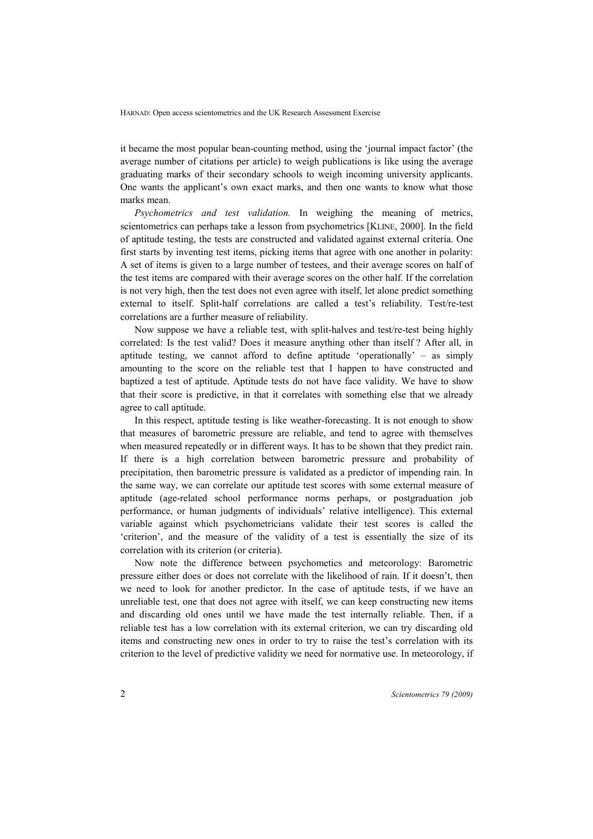it became the most popular bean-counting method, using the 'journal impact factor' (the average number of citations per article) to weigh publications is like using the average graduating marks of their secondary schools to weigh incoming university applicants. One wants the applicant's own exact marks, and then one wants to know what those marks mean.

*Psychometrics and test validation.* In weighing the meaning of metrics, scientometrics can perhaps take a lesson from psychometrics [KLINE, 2000]. In the field of aptitude testing, the tests are constructed and validated against external criteria. One first starts by inventing test items, picking items that agree with one another in polarity: A set of items is given to a large number of testees, and their average scores on half of the test items are compared with their average scores on the other half. If the correlation is not very high, then the test does not even agree with itself, let alone predict something external to itself. Split-half correlations are called a test's reliability. Test/re-test correlations are a further measure of reliability.

Now suppose we have a reliable test, with split-halves and test/re-test being highly correlated: Is the test valid? Does it measure anything other than itself ? After all, in aptitude testing, we cannot afford to define aptitude 'operationally'  $-$  as simply amounting to the score on the reliable test that I happen to have constructed and baptized a test of aptitude. Aptitude tests do not have face validity. We have to show that their score is predictive, in that it correlates with something else that we already agree to call aptitude.

In this respect, aptitude testing is like weather-forecasting. It is not enough to show that measures of barometric pressure are reliable, and tend to agree with themselves when measured repeatedly or in different ways. It has to be shown that they predict rain. If there is a high correlation between barometric pressure and probability of precipitation, then barometric pressure is validated as a predictor of impending rain. In the same way, we can correlate our aptitude test scores with some external measure of aptitude (age-related school performance norms perhaps, or postgraduation job performance, or human judgments of individuals' relative intelligence). This external variable against which psychometricians validate their test scores is called the 'criterion', and the measure of the validity of a test is essentially the size of its correlation with its criterion (or criteria).

Now note the difference between psychometics and meteorology: Barometric pressure either does or does not correlate with the likelihood of rain. If it doesn't, then we need to look for another predictor. In the case of aptitude tests, if we have an unreliable test, one that does not agree with itself, we can keep constructing new items and discarding old ones until we have made the test internally reliable. Then, if a reliable test has a low correlation with its external criterion, we can try discarding old items and constructing new ones in order to try to raise the test's correlation with its criterion to the level of predictive validity we need for normative use. In meteorology, if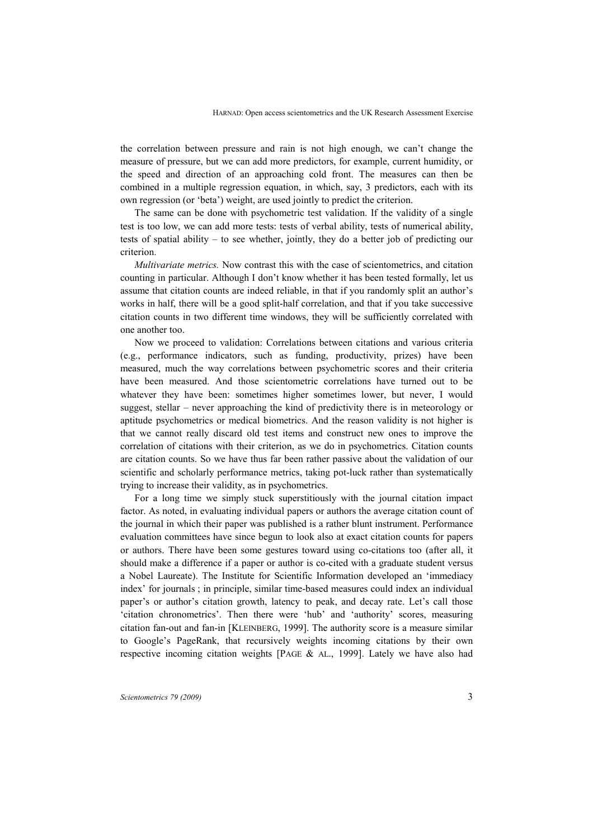the correlation between pressure and rain is not high enough, we can't change the measure of pressure, but we can add more predictors, for example, current humidity, or the speed and direction of an approaching cold front. The measures can then be combined in a multiple regression equation, in which, say, 3 predictors, each with its own regression (or 'beta') weight, are used jointly to predict the criterion.

The same can be done with psychometric test validation. If the validity of a single test is too low, we can add more tests: tests of verbal ability, tests of numerical ability, tests of spatial ability – to see whether, jointly, they do a better job of predicting our criterion.

*Multivariate metrics.* Now contrast this with the case of scientometrics, and citation counting in particular. Although I don't know whether it has been tested formally, let us assume that citation counts are indeed reliable, in that if you randomly split an author's works in half, there will be a good split-half correlation, and that if you take successive citation counts in two different time windows, they will be sufficiently correlated with one another too.

Now we proceed to validation: Correlations between citations and various criteria (e.g., performance indicators, such as funding, productivity, prizes) have been measured, much the way correlations between psychometric scores and their criteria have been measured. And those scientometric correlations have turned out to be whatever they have been: sometimes higher sometimes lower, but never, I would suggest, stellar – never approaching the kind of predictivity there is in meteorology or aptitude psychometrics or medical biometrics. And the reason validity is not higher is that we cannot really discard old test items and construct new ones to improve the correlation of citations with their criterion, as we do in psychometrics. Citation counts are citation counts. So we have thus far been rather passive about the validation of our scientific and scholarly performance metrics, taking pot-luck rather than systematically trying to increase their validity, as in psychometrics.

For a long time we simply stuck superstitiously with the journal citation impact factor. As noted, in evaluating individual papers or authors the average citation count of the journal in which their paper was published is a rather blunt instrument. Performance evaluation committees have since begun to look also at exact citation counts for papers or authors. There have been some gestures toward using co-citations too (after all, it should make a difference if a paper or author is co-cited with a graduate student versus a Nobel Laureate). The Institute for Scientific Information developed an 'immediacy index' for journals ; in principle, similar time-based measures could index an individual paper's or author's citation growth, latency to peak, and decay rate. Let's call those 'citation chronometrics'. Then there were 'hub' and 'authority' scores, measuring citation fan-out and fan-in [KLEINBERG, 1999]. The authority score is a measure similar to Google's PageRank, that recursively weights incoming citations by their own respective incoming citation weights [PAGE & AL., 1999]. Lately we have also had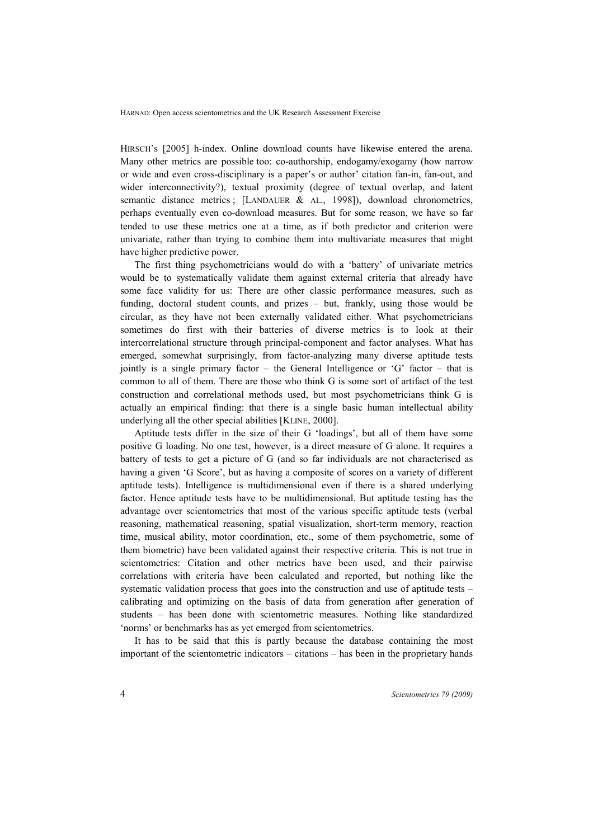HIRSCH's [2005] h-index. Online download counts have likewise entered the arena. Many other metrics are possible too: co-authorship, endogamy/exogamy (how narrow or wide and even cross-disciplinary is a paper's or author' citation fan-in, fan-out, and wider interconnectivity?), textual proximity (degree of textual overlap, and latent semantic distance metrics ; [LANDAUER & AL., 1998]), download chronometrics, perhaps eventually even co-download measures. But for some reason, we have so far tended to use these metrics one at a time, as if both predictor and criterion were univariate, rather than trying to combine them into multivariate measures that might have higher predictive power.

The first thing psychometricians would do with a 'battery' of univariate metrics would be to systematically validate them against external criteria that already have some face validity for us: There are other classic performance measures, such as funding, doctoral student counts, and prizes – but, frankly, using those would be circular, as they have not been externally validated either. What psychometricians sometimes do first with their batteries of diverse metrics is to look at their intercorrelational structure through principal-component and factor analyses. What has emerged, somewhat surprisingly, from factor-analyzing many diverse aptitude tests jointly is a single primary factor – the General Intelligence or 'G' factor – that is common to all of them. There are those who think G is some sort of artifact of the test construction and correlational methods used, but most psychometricians think G is actually an empirical finding: that there is a single basic human intellectual ability underlying all the other special abilities [KLINE, 2000].

Aptitude tests differ in the size of their G 'loadings', but all of them have some positive G loading. No one test, however, is a direct measure of G alone. It requires a battery of tests to get a picture of G (and so far individuals are not characterised as having a given 'G Score', but as having a composite of scores on a variety of different aptitude tests). Intelligence is multidimensional even if there is a shared underlying factor. Hence aptitude tests have to be multidimensional. But aptitude testing has the advantage over scientometrics that most of the various specific aptitude tests (verbal reasoning, mathematical reasoning, spatial visualization, short-term memory, reaction time, musical ability, motor coordination, etc., some of them psychometric, some of them biometric) have been validated against their respective criteria. This is not true in scientometrics: Citation and other metrics have been used, and their pairwise correlations with criteria have been calculated and reported, but nothing like the systematic validation process that goes into the construction and use of aptitude tests – calibrating and optimizing on the basis of data from generation after generation of students – has been done with scientometric measures. Nothing like standardized 'norms' or benchmarks has as yet emerged from scientometrics.

It has to be said that this is partly because the database containing the most important of the scientometric indicators – citations – has been in the proprietary hands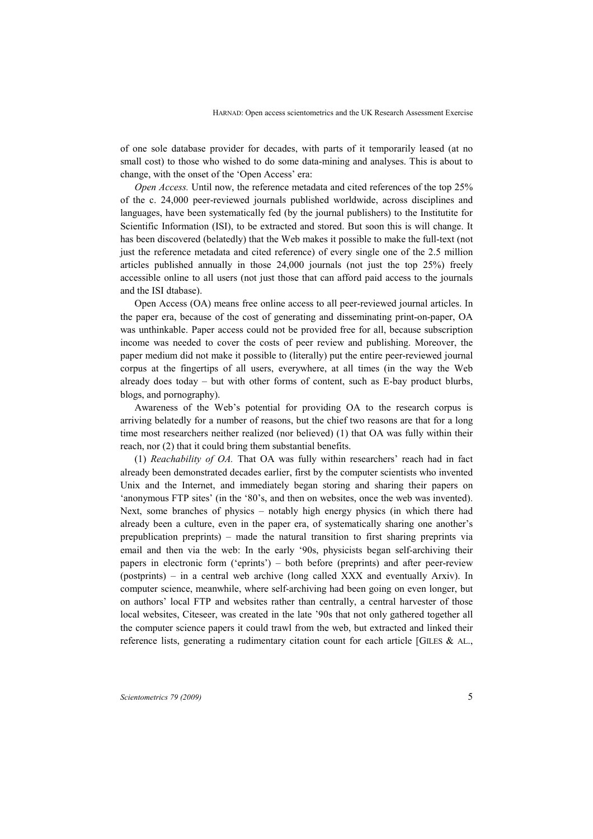of one sole database provider for decades, with parts of it temporarily leased (at no small cost) to those who wished to do some data-mining and analyses. This is about to change, with the onset of the 'Open Access' era:

*Open Access.* Until now, the reference metadata and cited references of the top 25% of the c. 24,000 peer-reviewed journals published worldwide, across disciplines and languages, have been systematically fed (by the journal publishers) to the Institutite for Scientific Information (ISI), to be extracted and stored. But soon this is will change. It has been discovered (belatedly) that the Web makes it possible to make the full-text (not just the reference metadata and cited reference) of every single one of the 2.5 million articles published annually in those 24,000 journals (not just the top 25%) freely accessible online to all users (not just those that can afford paid access to the journals and the ISI dtabase).

Open Access (OA) means free online access to all peer-reviewed journal articles. In the paper era, because of the cost of generating and disseminating print-on-paper, OA was unthinkable. Paper access could not be provided free for all, because subscription income was needed to cover the costs of peer review and publishing. Moreover, the paper medium did not make it possible to (literally) put the entire peer-reviewed journal corpus at the fingertips of all users, everywhere, at all times (in the way the Web already does today – but with other forms of content, such as E-bay product blurbs, blogs, and pornography).

Awareness of the Web's potential for providing OA to the research corpus is arriving belatedly for a number of reasons, but the chief two reasons are that for a long time most researchers neither realized (nor believed) (1) that OA was fully within their reach, nor (2) that it could bring them substantial benefits.

(1) *Reachability of OA.* That OA was fully within researchers' reach had in fact already been demonstrated decades earlier, first by the computer scientists who invented Unix and the Internet, and immediately began storing and sharing their papers on 'anonymous FTP sites' (in the '80's, and then on websites, once the web was invented). Next, some branches of physics – notably high energy physics (in which there had already been a culture, even in the paper era, of systematically sharing one another's prepublication preprints) – made the natural transition to first sharing preprints via email and then via the web: In the early '90s, physicists began self-archiving their papers in electronic form ('eprints') – both before (preprints) and after peer-review (postprints) – in a central web archive (long called XXX and eventually Arxiv). In computer science, meanwhile, where self-archiving had been going on even longer, but on authors' local FTP and websites rather than centrally, a central harvester of those local websites, Citeseer, was created in the late '90s that not only gathered together all the computer science papers it could trawl from the web, but extracted and linked their reference lists, generating a rudimentary citation count for each article [GILES & AL.,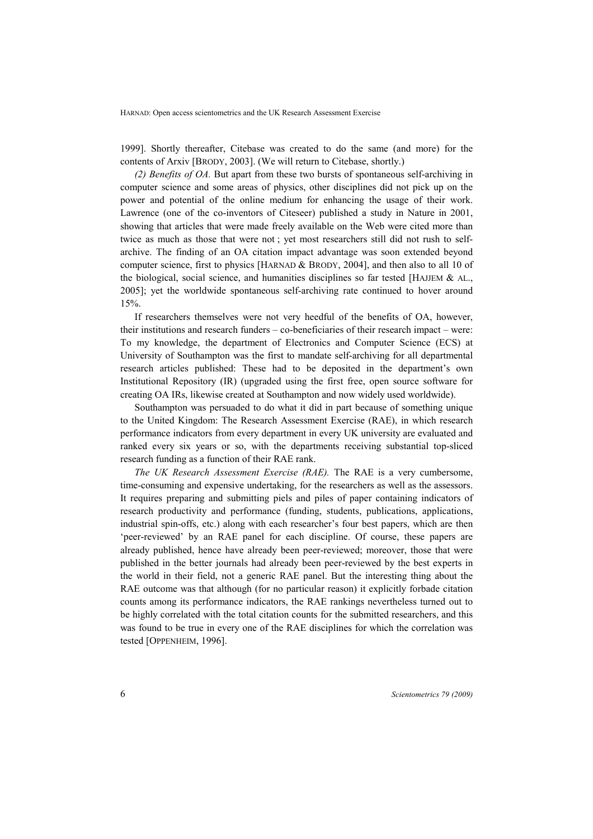1999]. Shortly thereafter, Citebase was created to do the same (and more) for the contents of Arxiv [BRODY, 2003]. (We will return to Citebase, shortly.)

*(2) Benefits of OA.* But apart from these two bursts of spontaneous self-archiving in computer science and some areas of physics, other disciplines did not pick up on the power and potential of the online medium for enhancing the usage of their work. Lawrence (one of the co-inventors of Citeseer) published a study in Nature in 2001, showing that articles that were made freely available on the Web were cited more than twice as much as those that were not ; yet most researchers still did not rush to selfarchive. The finding of an OA citation impact advantage was soon extended beyond computer science, first to physics [HARNAD & BRODY, 2004], and then also to all 10 of the biological, social science, and humanities disciplines so far tested [HAJJEM  $\&$  AL., 2005]; yet the worldwide spontaneous self-archiving rate continued to hover around 15%.

If researchers themselves were not very heedful of the benefits of OA, however, their institutions and research funders – co-beneficiaries of their research impact – were: To my knowledge, the department of Electronics and Computer Science (ECS) at University of Southampton was the first to mandate self-archiving for all departmental research articles published: These had to be deposited in the department's own Institutional Repository (IR) (upgraded using the first free, open source software for creating OA IRs, likewise created at Southampton and now widely used worldwide).

Southampton was persuaded to do what it did in part because of something unique to the United Kingdom: The Research Assessment Exercise (RAE), in which research performance indicators from every department in every UK university are evaluated and ranked every six years or so, with the departments receiving substantial top-sliced research funding as a function of their RAE rank.

*The UK Research Assessment Exercise (RAE).* The RAE is a very cumbersome, time-consuming and expensive undertaking, for the researchers as well as the assessors. It requires preparing and submitting piels and piles of paper containing indicators of research productivity and performance (funding, students, publications, applications, industrial spin-offs, etc.) along with each researcher's four best papers, which are then 'peer-reviewed' by an RAE panel for each discipline. Of course, these papers are already published, hence have already been peer-reviewed; moreover, those that were published in the better journals had already been peer-reviewed by the best experts in the world in their field, not a generic RAE panel. But the interesting thing about the RAE outcome was that although (for no particular reason) it explicitly forbade citation counts among its performance indicators, the RAE rankings nevertheless turned out to be highly correlated with the total citation counts for the submitted researchers, and this was found to be true in every one of the RAE disciplines for which the correlation was tested [OPPENHEIM, 1996].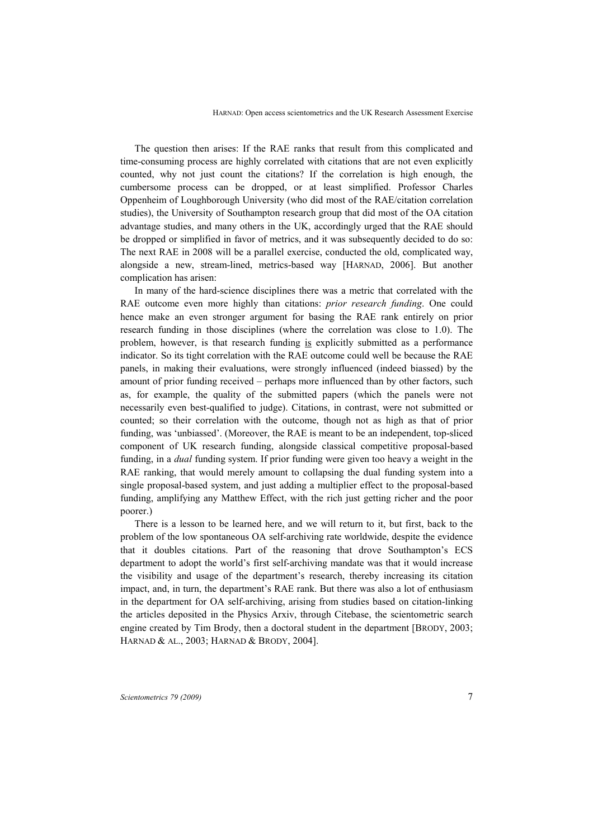The question then arises: If the RAE ranks that result from this complicated and time-consuming process are highly correlated with citations that are not even explicitly counted, why not just count the citations? If the correlation is high enough, the cumbersome process can be dropped, or at least simplified. Professor Charles Oppenheim of Loughborough University (who did most of the RAE/citation correlation studies), the University of Southampton research group that did most of the OA citation advantage studies, and many others in the UK, accordingly urged that the RAE should be dropped or simplified in favor of metrics, and it was subsequently decided to do so: The next RAE in 2008 will be a parallel exercise, conducted the old, complicated way, alongside a new, stream-lined, metrics-based way [HARNAD, 2006]. But another complication has arisen:

In many of the hard-science disciplines there was a metric that correlated with the RAE outcome even more highly than citations: *prior research funding*. One could hence make an even stronger argument for basing the RAE rank entirely on prior research funding in those disciplines (where the correlation was close to 1.0). The problem, however, is that research funding is explicitly submitted as a performance indicator. So its tight correlation with the RAE outcome could well be because the RAE panels, in making their evaluations, were strongly influenced (indeed biassed) by the amount of prior funding received – perhaps more influenced than by other factors, such as, for example, the quality of the submitted papers (which the panels were not necessarily even best-qualified to judge). Citations, in contrast, were not submitted or counted; so their correlation with the outcome, though not as high as that of prior funding, was 'unbiassed'. (Moreover, the RAE is meant to be an independent, top-sliced component of UK research funding, alongside classical competitive proposal-based funding, in a *dual* funding system. If prior funding were given too heavy a weight in the RAE ranking, that would merely amount to collapsing the dual funding system into a single proposal-based system, and just adding a multiplier effect to the proposal-based funding, amplifying any Matthew Effect, with the rich just getting richer and the poor poorer.)

There is a lesson to be learned here, and we will return to it, but first, back to the problem of the low spontaneous OA self-archiving rate worldwide, despite the evidence that it doubles citations. Part of the reasoning that drove Southampton's ECS department to adopt the world's first self-archiving mandate was that it would increase the visibility and usage of the department's research, thereby increasing its citation impact, and, in turn, the department's RAE rank. But there was also a lot of enthusiasm in the department for OA self-archiving, arising from studies based on citation-linking the articles deposited in the Physics Arxiv, through Citebase, the scientometric search engine created by Tim Brody, then a doctoral student in the department [BRODY, 2003; HARNAD & AL., 2003; HARNAD & BRODY, 2004].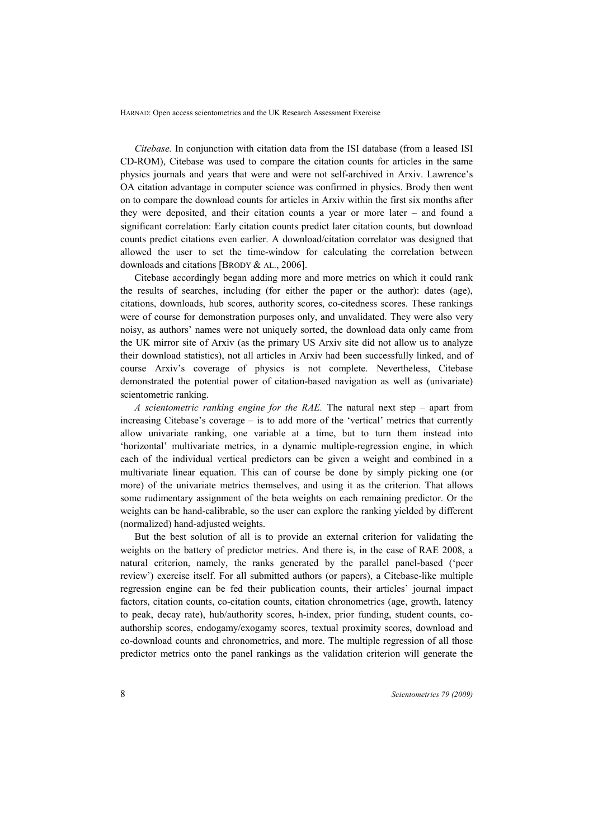*Citebase.* In conjunction with citation data from the ISI database (from a leased ISI CD-ROM), Citebase was used to compare the citation counts for articles in the same physics journals and years that were and were not self-archived in Arxiv. Lawrence's OA citation advantage in computer science was confirmed in physics. Brody then went on to compare the download counts for articles in Arxiv within the first six months after they were deposited, and their citation counts a year or more later – and found a significant correlation: Early citation counts predict later citation counts, but download counts predict citations even earlier. A download/citation correlator was designed that allowed the user to set the time-window for calculating the correlation between downloads and citations [BRODY & AL., 2006].

Citebase accordingly began adding more and more metrics on which it could rank the results of searches, including (for either the paper or the author): dates (age), citations, downloads, hub scores, authority scores, co-citedness scores. These rankings were of course for demonstration purposes only, and unvalidated. They were also very noisy, as authors' names were not uniquely sorted, the download data only came from the UK mirror site of Arxiv (as the primary US Arxiv site did not allow us to analyze their download statistics), not all articles in Arxiv had been successfully linked, and of course Arxiv's coverage of physics is not complete. Nevertheless, Citebase demonstrated the potential power of citation-based navigation as well as (univariate) scientometric ranking.

*A scientometric ranking engine for the RAE.* The natural next step – apart from increasing Citebase's coverage – is to add more of the 'vertical' metrics that currently allow univariate ranking, one variable at a time, but to turn them instead into 'horizontal' multivariate metrics, in a dynamic multiple-regression engine, in which each of the individual vertical predictors can be given a weight and combined in a multivariate linear equation. This can of course be done by simply picking one (or more) of the univariate metrics themselves, and using it as the criterion. That allows some rudimentary assignment of the beta weights on each remaining predictor. Or the weights can be hand-calibrable, so the user can explore the ranking yielded by different (normalized) hand-adjusted weights.

But the best solution of all is to provide an external criterion for validating the weights on the battery of predictor metrics. And there is, in the case of RAE 2008, a natural criterion, namely, the ranks generated by the parallel panel-based ('peer review') exercise itself. For all submitted authors (or papers), a Citebase-like multiple regression engine can be fed their publication counts, their articles' journal impact factors, citation counts, co-citation counts, citation chronometrics (age, growth, latency to peak, decay rate), hub/authority scores, h-index, prior funding, student counts, coauthorship scores, endogamy/exogamy scores, textual proximity scores, download and co-download counts and chronometrics, and more. The multiple regression of all those predictor metrics onto the panel rankings as the validation criterion will generate the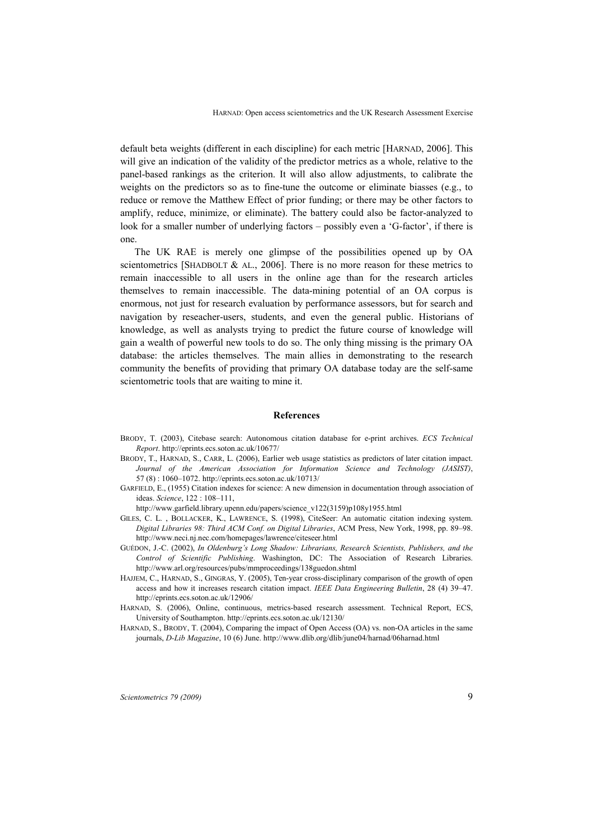default beta weights (different in each discipline) for each metric [HARNAD, 2006]. This will give an indication of the validity of the predictor metrics as a whole, relative to the panel-based rankings as the criterion. It will also allow adjustments, to calibrate the weights on the predictors so as to fine-tune the outcome or eliminate biasses (e.g., to reduce or remove the Matthew Effect of prior funding; or there may be other factors to amplify, reduce, minimize, or eliminate). The battery could also be factor-analyzed to look for a smaller number of underlying factors – possibly even a 'G-factor', if there is one.

The UK RAE is merely one glimpse of the possibilities opened up by OA scientometrics [SHADBOLT  $\&$  AL., 2006]. There is no more reason for these metrics to remain inaccessible to all users in the online age than for the research articles themselves to remain inaccessible. The data-mining potential of an OA corpus is enormous, not just for research evaluation by performance assessors, but for search and navigation by reseacher-users, students, and even the general public. Historians of knowledge, as well as analysts trying to predict the future course of knowledge will gain a wealth of powerful new tools to do so. The only thing missing is the primary OA database: the articles themselves. The main allies in demonstrating to the research community the benefits of providing that primary OA database today are the self-same scientometric tools that are waiting to mine it.

## **References**

- BRODY, T. (2003), Citebase search: Autonomous citation database for e-print archives. *ECS Technical Report*. http://eprints.ecs.soton.ac.uk/10677/
- BRODY, T., HARNAD, S., CARR, L. (2006), Earlier web usage statistics as predictors of later citation impact. *Journal of the American Association for Information Science and Technology (JASIST)*, 57 (8) : 1060–1072. http://eprints.ecs.soton.ac.uk/10713/
- GARFIELD, E., (1955) Citation indexes for science: A new dimension in documentation through association of ideas. *Science*, 122 : 108–111,
- http://www.garfield.library.upenn.edu/papers/science\_v122(3159)p108y1955.html
- GILES, C. L. , BOLLACKER, K., LAWRENCE, S. (1998), CiteSeer: An automatic citation indexing system. *Digital Libraries 98: Third ACM Conf. on Digital Libraries*, ACM Press, New York, 1998, pp. 89–98. http://www.neci.nj.nec.com/homepages/lawrence/citeseer.html
- GUÉDON, J.-C. (2002), *In Oldenburg's Long Shadow: Librarians, Research Scientists, Publishers, and the Control of Scientific Publishing*. Washington, DC: The Association of Research Libraries. http://www.arl.org/resources/pubs/mmproceedings/138guedon.shtml
- HAJJEM, C., HARNAD, S., GINGRAS, Y. (2005), Ten-year cross-disciplinary comparison of the growth of open access and how it increases research citation impact. *IEEE Data Engineering Bulletin*, 28 (4) 39–47. http://eprints.ecs.soton.ac.uk/12906/
- HARNAD, S. (2006), Online, continuous, metrics-based research assessment. Technical Report, ECS, University of Southampton. http://eprints.ecs.soton.ac.uk/12130/
- HARNAD, S., BRODY, T. (2004), Comparing the impact of Open Access (OA) vs. non-OA articles in the same journals, *D-Lib Magazine*, 10 (6) June. http://www.dlib.org/dlib/june04/harnad/06harnad.html

*Scientometrics 79 (2009)* 9